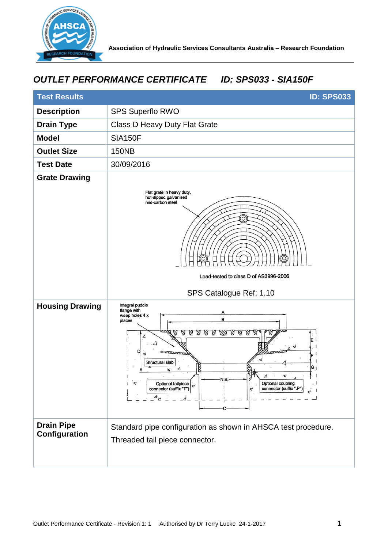

## *OUTLET PERFORMANCE CERTIFICATE ID: SPS033 - SIA150F*